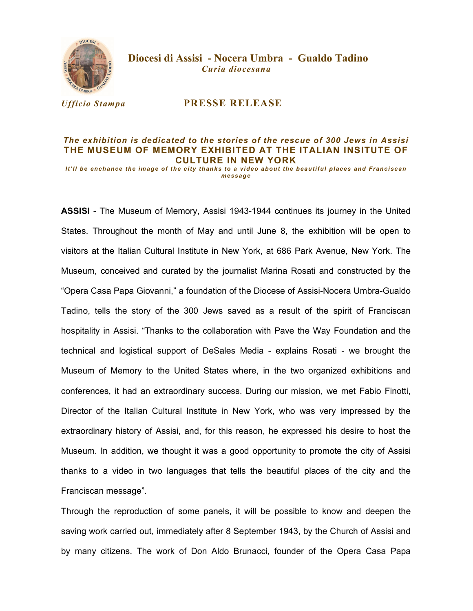

 Diocesi di Assisi - Nocera Umbra - Gualdo Tadino Curia diocesana

## Ufficio Stampa PRESSE RELEASE

## The exhibition is dedicated to the stories of the rescue of 300 Jews in Assisi THE MUSEUM OF MEMORY EXHIBITED AT THE ITALIAN INSITUTE OF CULTURE IN NEW YORK

It'll be enchance the image of the city thanks to a video about the beautiful places and Franciscan message

ASSISI - The Museum of Memory, Assisi 1943-1944 continues its journey in the United States. Throughout the month of May and until June 8, the exhibition will be open to visitors at the Italian Cultural Institute in New York, at 686 Park Avenue, New York. The Museum, conceived and curated by the journalist Marina Rosati and constructed by the "Opera Casa Papa Giovanni," a foundation of the Diocese of Assisi-Nocera Umbra-Gualdo Tadino, tells the story of the 300 Jews saved as a result of the spirit of Franciscan hospitality in Assisi. "Thanks to the collaboration with Pave the Way Foundation and the technical and logistical support of DeSales Media - explains Rosati - we brought the Museum of Memory to the United States where, in the two organized exhibitions and conferences, it had an extraordinary success. During our mission, we met Fabio Finotti, Director of the Italian Cultural Institute in New York, who was very impressed by the extraordinary history of Assisi, and, for this reason, he expressed his desire to host the Museum. In addition, we thought it was a good opportunity to promote the city of Assisi thanks to a video in two languages that tells the beautiful places of the city and the Franciscan message".

Through the reproduction of some panels, it will be possible to know and deepen the saving work carried out, immediately after 8 September 1943, by the Church of Assisi and by many citizens. The work of Don Aldo Brunacci, founder of the Opera Casa Papa